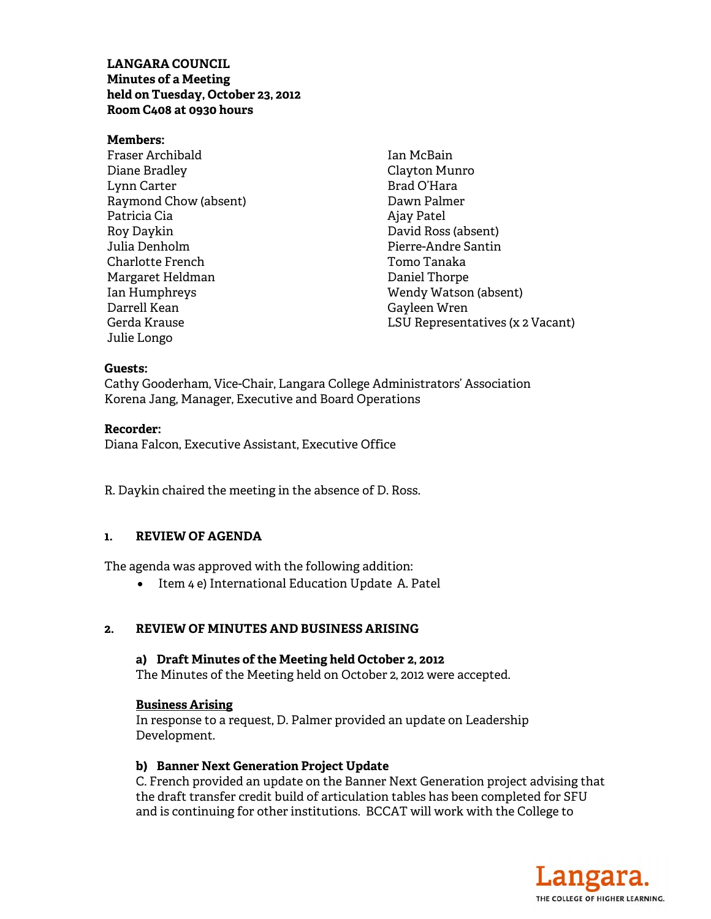## **LANGARA COUNCIL Minutes of a Meeting held on Tuesday, October 23, 2012 Room C408 at 0930 hours**

**Members:**  Fraser Archibald Diane Bradley Lynn Carter Raymond Chow (absent) Patricia Cia Roy Daykin Julia Denholm Charlotte French Margaret Heldman Ian Humphreys Darrell Kean Gerda Krause Julie Longo

Ian McBain Clayton Munro Brad O'Hara Dawn Palmer Ajay Patel David Ross (absent) Pierre-Andre Santin Tomo Tanaka Daniel Thorpe Wendy Watson (absent) Gayleen Wren LSU Representatives (x 2 Vacant)

#### **Guests:**

Cathy Gooderham, Vice-Chair, Langara College Administrators' Association Korena Jang, Manager, Executive and Board Operations

### **Recorder:**

Diana Falcon, Executive Assistant, Executive Office

R. Daykin chaired the meeting in the absence of D. Ross.

## **1. REVIEW OF AGENDA**

The agenda was approved with the following addition:

• Item 4 e) International Education Update A. Patel

### **2. REVIEW OF MINUTES AND BUSINESS ARISING**

### **a) Draft Minutes of the Meeting held October 2, 2012**

The Minutes of the Meeting held on October 2, 2012 were accepted.

### **Business Arising**

In response to a request, D. Palmer provided an update on Leadership Development.

### **b) Banner Next Generation Project Update**

C. French provided an update on the Banner Next Generation project advising that the draft transfer credit build of articulation tables has been completed for SFU and is continuing for other institutions. BCCAT will work with the College to

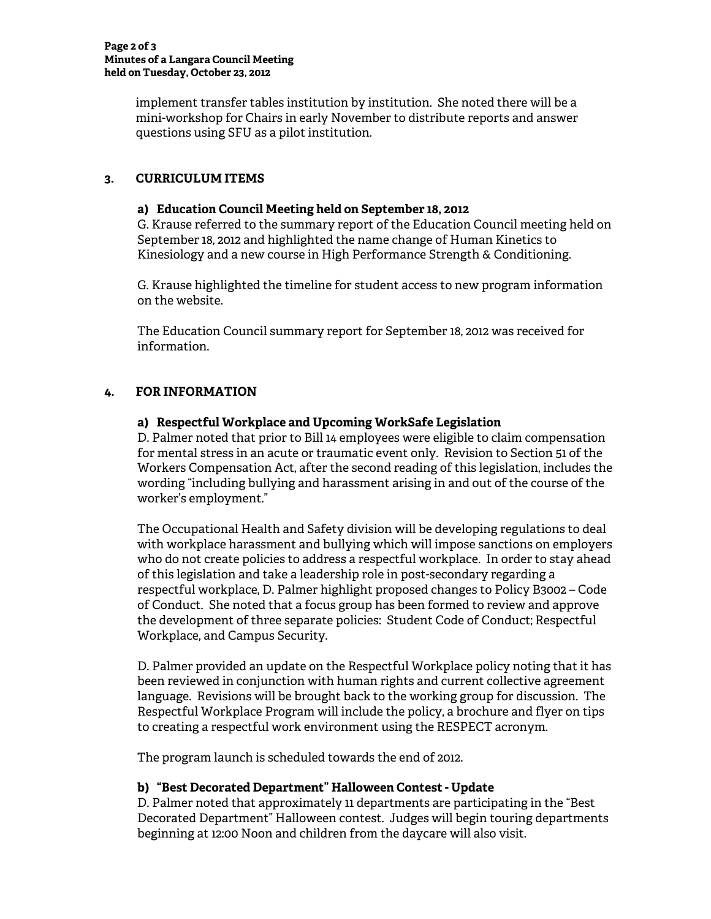implement transfer tables institution by institution. She noted there will be a mini-workshop for Chairs in early November to distribute reports and answer questions using SFU as a pilot institution.

# **3. CURRICULUM ITEMS**

### **a) Education Council Meeting held on September 18, 2012**

G. Krause referred to the summary report of the Education Council meeting held on September 18, 2012 and highlighted the name change of Human Kinetics to Kinesiology and a new course in High Performance Strength & Conditioning.

G. Krause highlighted the timeline for student access to new program information on the website.

The Education Council summary report for September 18, 2012 was received for information.

# **4. FOR INFORMATION**

## **a) Respectful Workplace and Upcoming WorkSafe Legislation**

D. Palmer noted that prior to Bill 14 employees were eligible to claim compensation for mental stress in an acute or traumatic event only. Revision to Section 51 of the Workers Compensation Act, after the second reading of this legislation, includes the wording "including bullying and harassment arising in and out of the course of the worker's employment."

The Occupational Health and Safety division will be developing regulations to deal with workplace harassment and bullying which will impose sanctions on employers who do not create policies to address a respectful workplace. In order to stay ahead of this legislation and take a leadership role in post-secondary regarding a respectful workplace, D. Palmer highlight proposed changes to Policy B3002 – Code of Conduct. She noted that a focus group has been formed to review and approve the development of three separate policies: Student Code of Conduct; Respectful Workplace, and Campus Security.

D. Palmer provided an update on the Respectful Workplace policy noting that it has been reviewed in conjunction with human rights and current collective agreement language. Revisions will be brought back to the working group for discussion. The Respectful Workplace Program will include the policy, a brochure and flyer on tips to creating a respectful work environment using the RESPECT acronym.

The program launch is scheduled towards the end of 2012.

# **b) "Best Decorated Department" Halloween Contest - Update**

D. Palmer noted that approximately 11 departments are participating in the "Best Decorated Department" Halloween contest. Judges will begin touring departments beginning at 12:00 Noon and children from the daycare will also visit.